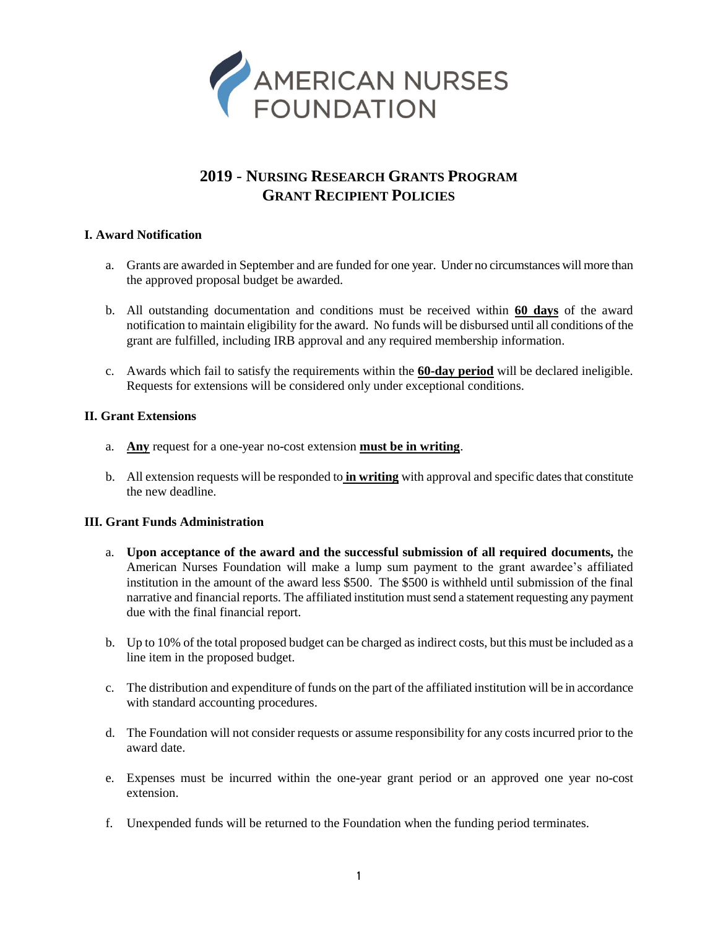

# **2019** - **NURSING RESEARCH GRANTS PROGRAM GRANT RECIPIENT POLICIES**

## **I. Award Notification**

- a. Grants are awarded in September and are funded for one year. Under no circumstances will more than the approved proposal budget be awarded.
- b. All outstanding documentation and conditions must be received within **60 days** of the award notification to maintain eligibility for the award. No funds will be disbursed until all conditions of the grant are fulfilled, including IRB approval and any required membership information.
- c. Awards which fail to satisfy the requirements within the **60-day period** will be declared ineligible. Requests for extensions will be considered only under exceptional conditions.

## **II. Grant Extensions**

- a. **Any** request for a one-year no-cost extension **must be in writing**.
- b. All extension requests will be responded to **in writing** with approval and specific dates that constitute the new deadline.

## **III. Grant Funds Administration**

- a. **Upon acceptance of the award and the successful submission of all required documents,** the American Nurses Foundation will make a lump sum payment to the grant awardee's affiliated institution in the amount of the award less \$500. The \$500 is withheld until submission of the final narrative and financial reports. The affiliated institution must send a statement requesting any payment due with the final financial report.
- b. Up to 10% of the total proposed budget can be charged as indirect costs, but this must be included as a line item in the proposed budget.
- c. The distribution and expenditure of funds on the part of the affiliated institution will be in accordance with standard accounting procedures.
- d. The Foundation will not consider requests or assume responsibility for any costs incurred prior to the award date.
- e. Expenses must be incurred within the one-year grant period or an approved one year no-cost extension.
- f. Unexpended funds will be returned to the Foundation when the funding period terminates.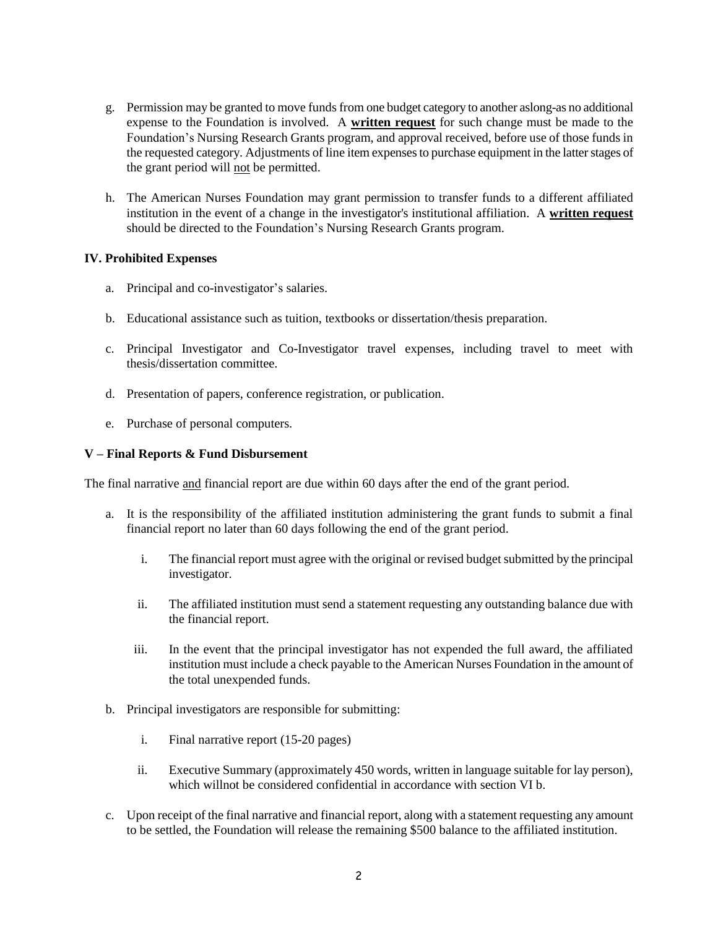- g. Permission may be granted to move funds from one budget category to another aslong-as no additional expense to the Foundation is involved. A **written request** for such change must be made to the Foundation's Nursing Research Grants program, and approval received, before use of those funds in the requested category. Adjustments of line item expenses to purchase equipment in the latter stages of the grant period will not be permitted.
- h. The American Nurses Foundation may grant permission to transfer funds to a different affiliated institution in the event of a change in the investigator's institutional affiliation. A **written request** should be directed to the Foundation's Nursing Research Grants program.

### **IV. Prohibited Expenses**

- a. Principal and co-investigator's salaries.
- b. Educational assistance such as tuition, textbooks or dissertation/thesis preparation.
- c. Principal Investigator and Co-Investigator travel expenses, including travel to meet with thesis/dissertation committee.
- d. Presentation of papers, conference registration, or publication.
- e. Purchase of personal computers.

### **V – Final Reports & Fund Disbursement**

The final narrative and financial report are due within 60 days after the end of the grant period.

- a. It is the responsibility of the affiliated institution administering the grant funds to submit a final financial report no later than 60 days following the end of the grant period.
	- i. The financial report must agree with the original or revised budget submitted by the principal investigator.
	- ii. The affiliated institution must send a statement requesting any outstanding balance due with the financial report.
	- iii. In the event that the principal investigator has not expended the full award, the affiliated institution must include a check payable to the American Nurses Foundation in the amount of the total unexpended funds.
- b. Principal investigators are responsible for submitting:
	- i. Final narrative report (15-20 pages)
	- ii. Executive Summary (approximately 450 words, written in language suitable for lay person), which willnot be considered confidential in accordance with section VI b.
- c. Upon receipt of the final narrative and financial report, along with a statement requesting any amount to be settled, the Foundation will release the remaining \$500 balance to the affiliated institution.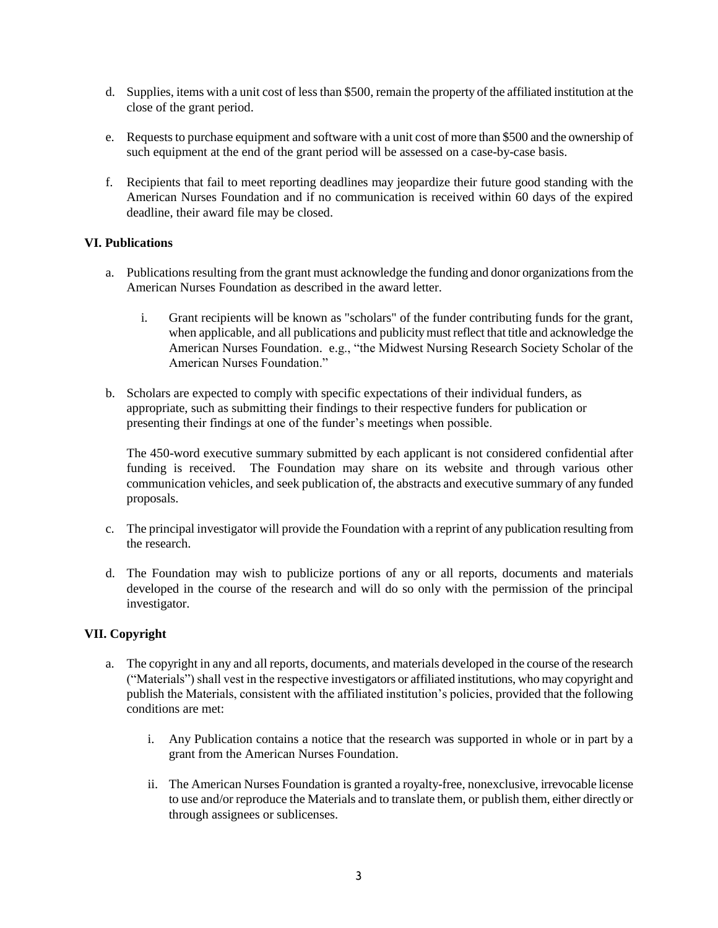- d. Supplies, items with a unit cost of less than \$500, remain the property of the affiliated institution at the close of the grant period.
- e. Requests to purchase equipment and software with a unit cost of more than \$500 and the ownership of such equipment at the end of the grant period will be assessed on a case-by-case basis.
- f. Recipients that fail to meet reporting deadlines may jeopardize their future good standing with the American Nurses Foundation and if no communication is received within 60 days of the expired deadline, their award file may be closed.

## **VI. Publications**

- a. Publications resulting from the grant must acknowledge the funding and donor organizations from the American Nurses Foundation as described in the award letter.
	- i. Grant recipients will be known as "scholars" of the funder contributing funds for the grant, when applicable, and all publications and publicity must reflect that title and acknowledge the American Nurses Foundation. e.g., "the Midwest Nursing Research Society Scholar of the American Nurses Foundation."
- b. Scholars are expected to comply with specific expectations of their individual funders, as appropriate, such as submitting their findings to their respective funders for publication or presenting their findings at one of the funder's meetings when possible.

The 450-word executive summary submitted by each applicant is not considered confidential after funding is received. The Foundation may share on its website and through various other communication vehicles, and seek publication of, the abstracts and executive summary of any funded proposals.

- c. The principal investigator will provide the Foundation with a reprint of any publication resulting from the research.
- d. The Foundation may wish to publicize portions of any or all reports, documents and materials developed in the course of the research and will do so only with the permission of the principal investigator.

### **VII. Copyright**

- a. The copyright in any and all reports, documents, and materials developed in the course of the research ("Materials") shall vest in the respective investigators or affiliated institutions, who may copyright and publish the Materials, consistent with the affiliated institution's policies, provided that the following conditions are met:
	- i. Any Publication contains a notice that the research was supported in whole or in part by a grant from the American Nurses Foundation.
	- ii. The American Nurses Foundation is granted a royalty-free, nonexclusive, irrevocable license to use and/or reproduce the Materials and to translate them, or publish them, either directly or through assignees or sublicenses.